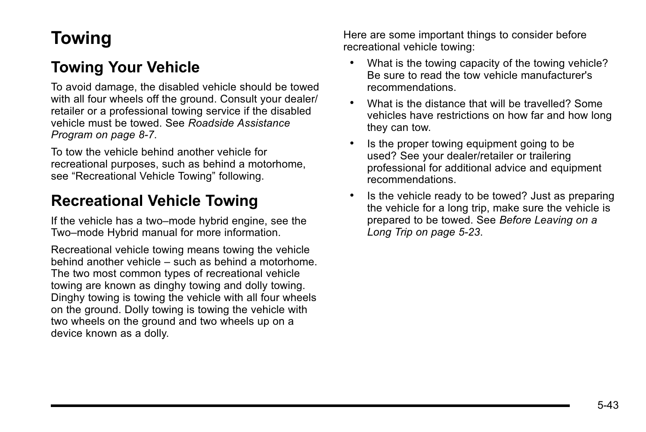# **Towing**

# **Towing Your Vehicle**

To avoid damage, the disabled vehicle should be towed with all four wheels off the ground. Consult your dealer/ retailer or a professional towing service if the disabled vehicle must be towed. See *[Roadside Assistance](#page--1-0) [Program on page 8](#page--1-0)‑7*.

To tow the vehicle behind another vehicle for recreational purposes, such as behind a motorhome, see "Recreational Vehicle Towing" following.

## **Recreational Vehicle Towing**

If the vehicle has a two–mode hybrid engine, see the Two–mode Hybrid manual for more information.

Recreational vehicle towing means towing the vehicle behind another vehicle – such as behind a motorhome. The two most common types of recreational vehicle towing are known as dinghy towing and dolly towing. Dinghy towing is towing the vehicle with all four wheels on the ground. Dolly towing is towing the vehicle with two wheels on the ground and two wheels up on a device known as a dolly.

Here are some important things to consider before recreational vehicle towing:

- What is the towing capacity of the towing vehicle? Be sure to read the tow vehicle manufacturer's recommendations.
- . What is the distance that will be travelled? Some vehicles have restrictions on how far and how long they can tow.
- . Is the proper towing equipment going to be used? See your dealer/retailer or trailering professional for additional advice and equipment recommendations.
- . Is the vehicle ready to be towed? Just as preparing the vehicle for a long trip, make sure the vehicle is prepared to be towed. See *[Before Leaving on a](#page--1-0) [Long Trip on page 5](#page--1-0)‑23*.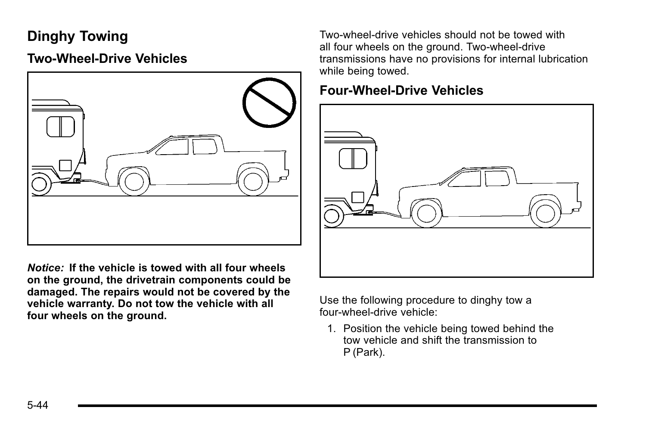## **Dinghy Towing**

### **Two-Wheel-Drive Vehicles**



*Notice:* **If the vehicle is towed with all four wheels on the ground, the drivetrain components could be damaged. The repairs would not be covered by the vehicle warranty. Do not tow the vehicle with all four wheels on the ground.**

Two-wheel-drive vehicles should not be towed with all four wheels on the ground. Two-wheel-drive transmissions have no provisions for internal lubrication while being towed.

#### **Four-Wheel-Drive Vehicles**



Use the following procedure to dinghy tow a four-wheel-drive vehicle:

1. Position the vehicle being towed behind the tow vehicle and shift the transmission to P (Park).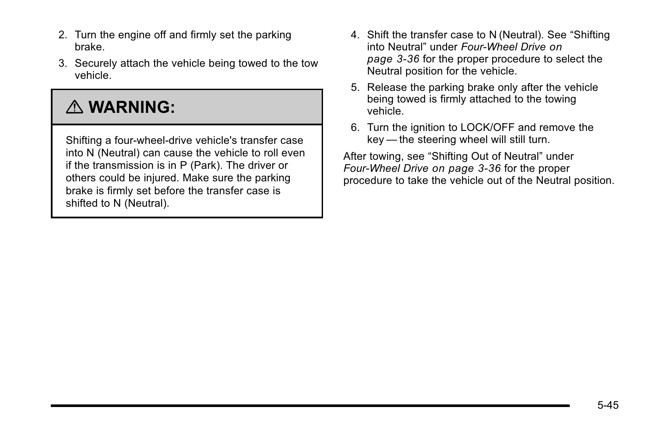- 2. Turn the engine off and firmly set the parking brake.
- 3. Securely attach the vehicle being towed to the tow vehicle.

# { **WARNING:**

Shifting a four-wheel-drive vehicle's transfer case into N (Neutral) can cause the vehicle to roll even if the transmission is in P (Park). The driver or others could be injured. Make sure the parking brake is firmly set before the transfer case is shifted to N (Neutral).

- 4. Shift the transfer case to N (Neutral). See "Shifting into Neutral" under *[Four-Wheel Drive](#page--1-0) on [page 3](#page--1-0)‑36* for the proper procedure to select the Neutral position for the vehicle.
- 5. Release the parking brake only after the vehicle being towed is firmly attached to the towing vehicle.
- 6. Turn the ignition to LOCK/OFF and remove the key — the steering wheel will still turn.

After towing, see "Shifting Out of Neutral" under *[Four-Wheel Drive](#page--1-0) on page 3‑36* for the proper procedure to take the vehicle out of the Neutral position.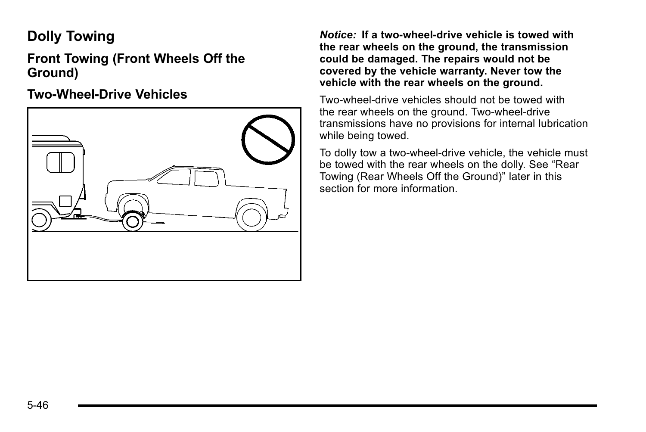## **Dolly Towing**

**Front Towing (Front Wheels Off the Ground)**

#### **Two-Wheel-Drive Vehicles**



*Notice:* **If a two-wheel-drive vehicle is towed with the rear wheels on the ground, the transmission could be damaged. The repairs would not be covered by the vehicle warranty. Never tow the vehicle with the rear wheels on the ground.**

Two-wheel-drive vehicles should not be towed with the rear wheels on the ground. Two-wheel-drive transmissions have no provisions for internal lubrication while being towed.

To dolly tow a two-wheel-drive vehicle, the vehicle must be towed with the rear wheels on the dolly. See "Rear Towing (Rear Wheels Off the Ground)" later in this section for more information.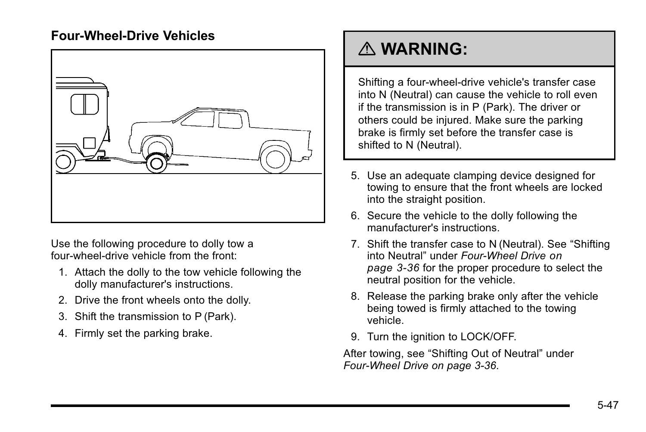#### **Four-Wheel-Drive Vehicles**



Use the following procedure to dolly tow a four-wheel-drive vehicle from the front:

- 1. Attach the dolly to the tow vehicle following the dolly manufacturer's instructions.
- 2. Drive the front wheels onto the dolly.
- 3. Shift the transmission to P (Park).
- 4. Firmly set the parking brake.

# { **WARNING:**

Shifting a four-wheel-drive vehicle's transfer case into N (Neutral) can cause the vehicle to roll even if the transmission is in P (Park). The driver or others could be injured. Make sure the parking brake is firmly set before the transfer case is shifted to N (Neutral).

- 5. Use an adequate clamping device designed for towing to ensure that the front wheels are locked into the straight position.
- 6. Secure the vehicle to the dolly following the manufacturer's instructions.
- 7. Shift the transfer case to N (Neutral). See "Shifting into Neutral" under *[Four-Wheel Drive](#page--1-0) on [page 3](#page--1-0)‑36* for the proper procedure to select the neutral position for the vehicle.
- 8. Release the parking brake only after the vehicle being towed is firmly attached to the towing vehicle.
- 9. Turn the ignition to LOCK/OFF.

After towing, see "Shifting Out of Neutral" under *[Four-Wheel Drive on page 3](#page--1-0)‑36*.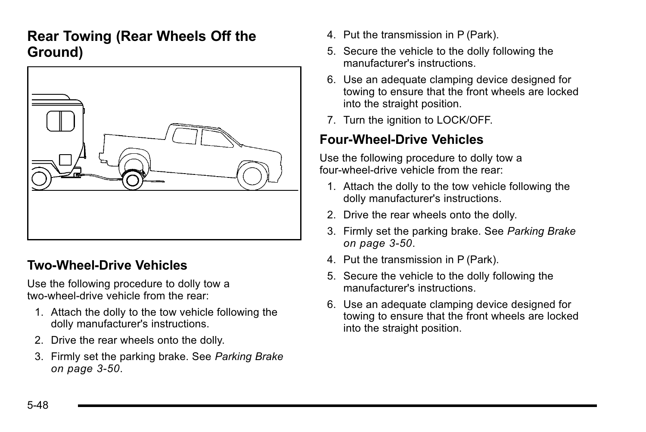### **Rear Towing (Rear Wheels Off the Ground)**



### **Two‐Wheel‐Drive Vehicles**

Use the following procedure to dolly tow a two-wheel-drive vehicle from the rear:

- 1. Attach the dolly to the tow vehicle following the dolly manufacturer's instructions.
- 2. Drive the rear wheels onto the dolly.
- 3. Firmly set the parking brake. See *[Parking Brake](#page--1-0) [on page 3](#page--1-0)‑50*.
- 4. Put the transmission in P (Park).
- 5. Secure the vehicle to the dolly following the manufacturer's instructions.
- 6. Use an adequate clamping device designed for towing to ensure that the front wheels are locked into the straight position.
- 7. Turn the ignition to LOCK/OFF.

#### **Four‐Wheel‐Drive Vehicles**

Use the following procedure to dolly tow a four-wheel-drive vehicle from the rear:

- 1. Attach the dolly to the tow vehicle following the dolly manufacturer's instructions.
- 2. Drive the rear wheels onto the dolly.
- 3. Firmly set the parking brake. See *[Parking Brake](#page--1-0) [on page 3](#page--1-0)‑50*.
- 4. Put the transmission in P (Park).
- 5. Secure the vehicle to the dolly following the manufacturer's instructions.
- 6. Use an adequate clamping device designed for towing to ensure that the front wheels are locked into the straight position.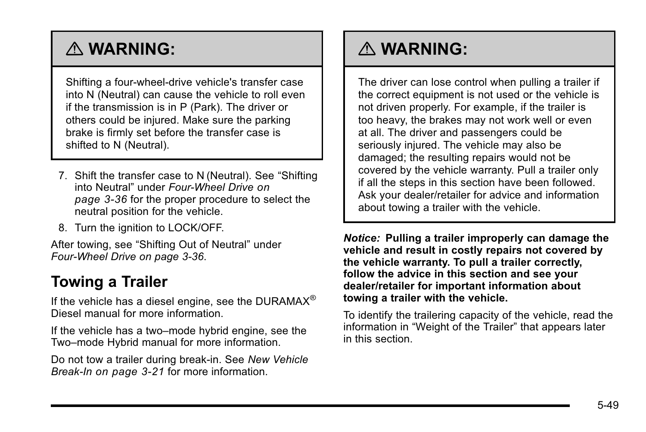# <span id="page-6-0"></span>{ **WARNING:**

Shifting a four-wheel-drive vehicle's transfer case into N (Neutral) can cause the vehicle to roll even if the transmission is in P (Park). The driver or others could be injured. Make sure the parking brake is firmly set before the transfer case is shifted to N (Neutral).

- 7. Shift the transfer case to N (Neutral). See "Shifting into Neutral" under *[Four-Wheel Drive](#page--1-0) on [page 3](#page--1-0)‑36* for the proper procedure to select the neutral position for the vehicle.
- 8. Turn the ignition to LOCK/OFF.

After towing, see "Shifting Out of Neutral" under *[Four-Wheel Drive on page 3](#page--1-0)‑36*.

# **Towing a Trailer**

If the vehicle has a diesel engine, see the DURAMAX<sup>®</sup> Diesel manual for more information.

If the vehicle has a two–mode hybrid engine, see the Two–mode Hybrid manual for more information.

Do not tow a trailer during break‐in. See *[New Vehicle](#page--1-0) Break-In [on page 3](#page--1-0)‑21* for more information.

# { **WARNING:**

The driver can lose control when pulling a trailer if the correct equipment is not used or the vehicle is not driven properly. For example, if the trailer is too heavy, the brakes may not work well or even at all. The driver and passengers could be seriously injured. The vehicle may also be damaged; the resulting repairs would not be covered by the vehicle warranty. Pull a trailer only if all the steps in this section have been followed. Ask your dealer/retailer for advice and information about towing a trailer with the vehicle.

*Notice:* **Pulling a trailer improperly can damage the vehicle and result in costly repairs not covered by the vehicle warranty. To pull a trailer correctly, follow the advice in this section and see your dealer/retailer for important information about towing a trailer with the vehicle.**

To identify the trailering capacity of the vehicle, read the information in "Weight of the Trailer" that appears later in this section.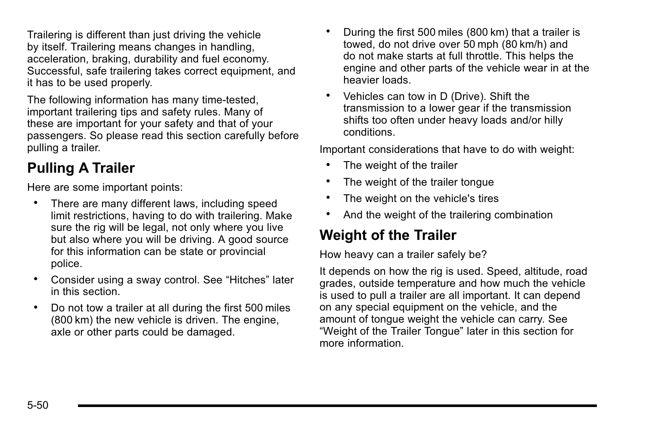Trailering is different than just driving the vehicle by itself. Trailering means changes in handling, acceleration, braking, durability and fuel economy. Successful, safe trailering takes correct equipment, and it has to be used properly.

The following information has many time-tested, important trailering tips and safety rules. Many of these are important for your safety and that of your passengers. So please read this section carefully before pulling a trailer.

# **Pulling A Trailer**

Here are some important points:

- . There are many different laws, including speed limit restrictions, having to do with trailering. Make sure the rig will be legal, not only where you live but also where you will be driving. A good source for this information can be state or provincial police.
- . Consider using a sway control. See "Hitches" later in this section.
- . Do not tow a trailer at all during the first 500 miles (800 km) the new vehicle is driven. The engine, axle or other parts could be damaged.
- . During the first 500 miles (800 km) that a trailer is towed, do not drive over 50 mph (80 km/h) and do not make starts at full throttle. This helps the engine and other parts of the vehicle wear in at the heavier loads.
- . Vehicles can tow in D (Drive). Shift the transmission to a lower gear if the transmission shifts too often under heavy loads and/or hilly conditions.

Important considerations that have to do with weight:

- The weight of the trailer
- . The weight of the trailer tongue
- . The weight on the vehicle's tires
- . And the weight of the trailering combination

## **Weight of the Trailer**

How heavy can a trailer safely be?

It depends on how the rig is used. Speed, altitude, road grades, outside temperature and how much the vehicle is used to pull a trailer are all important. It can depend on any special equipment on the vehicle, and the amount of tongue weight the vehicle can carry. See "Weight of the Trailer Tongue" later in this section for more information.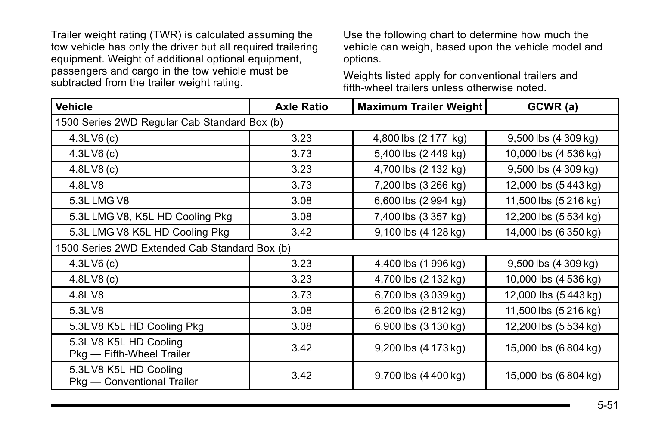Trailer weight rating (TWR) is calculated assuming the tow vehicle has only the driver but all required trailering equipment. Weight of additional optional equipment, passengers and cargo in the tow vehicle must be subtracted from the trailer weight rating.

Use the following chart to determine how much the vehicle can weigh, based upon the vehicle model and options.

Weights listed apply for conventional trailers and fifth-wheel trailers unless otherwise noted.

| <b>Vehicle</b>                                      | <b>Axle Ratio</b> | <b>Maximum Trailer Weight</b> | GCWR (a)                  |
|-----------------------------------------------------|-------------------|-------------------------------|---------------------------|
| 1500 Series 2WD Regular Cab Standard Box (b)        |                   |                               |                           |
| 4.3LV6(c)                                           | 3.23              | 4,800 lbs (2 177 kg)          | $9,500$ lbs $(4\,309$ kg) |
| 4.3LV6(c)                                           | 3.73              | 5,400 lbs (2 449 kg)          | 10,000 lbs (4 536 kg)     |
| 4.8LV8(c)                                           | 3.23              | 4,700 lbs (2 132 kg)          | 9,500 lbs (4 309 kg)      |
| 4.8LV8                                              | 3.73              | 7,200 lbs (3 266 kg)          | 12,000 lbs (5443 kg)      |
| 5.3L LMG V8                                         | 3.08              | 6,600 lbs (2 994 kg)          | 11,500 lbs (5 216 kg)     |
| 5.3L LMG V8, K5L HD Cooling Pkg                     | 3.08              | 7,400 lbs (3 357 kg)          | 12,200 lbs (5 534 kg)     |
| 5.3L LMG V8 K5L HD Cooling Pkg                      | 3.42              | 9,100 lbs (4 128 kg)          | 14,000 lbs (6 350 kg)     |
| 1500 Series 2WD Extended Cab Standard Box (b)       |                   |                               |                           |
| 4.3LV6(c)                                           | 3.23              | 4,400 lbs (1996 kg)           | 9,500 lbs (4 309 kg)      |
| 4.8LV8(c)                                           | 3.23              | 4,700 lbs (2 132 kg)          | 10,000 lbs (4 536 kg)     |
| 4.8LV8                                              | 3.73              | 6,700 lbs (3 039 kg)          | 12,000 lbs (5443 kg)      |
| 5.3LV8                                              | 3.08              | 6,200 lbs (2812 kg)           | 11,500 lbs (5 216 kg)     |
| 5.3LV8 K5L HD Cooling Pkg                           | 3.08              | 6,900 lbs (3 130 kg)          | 12,200 lbs (5 534 kg)     |
| 5.3LV8 K5L HD Cooling<br>Pkg - Fifth-Wheel Trailer  | 3.42              | 9,200 lbs (4 173 kg)          | 15,000 lbs (6 804 kg)     |
| 5.3LV8 K5L HD Cooling<br>Pkg - Conventional Trailer | 3.42              | 9,700 lbs (4 400 kg)          | 15,000 lbs (6 804 kg)     |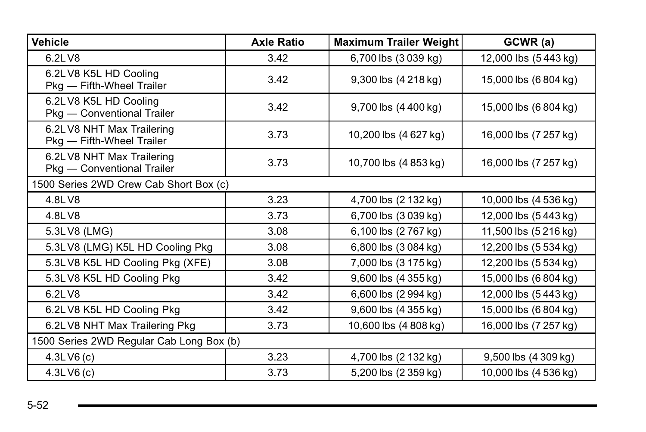| <b>Vehicle</b>                                          | <b>Axle Ratio</b> | <b>Maximum Trailer Weight</b> | GCWR (a)              |
|---------------------------------------------------------|-------------------|-------------------------------|-----------------------|
| 6.2LV8                                                  | 3.42              | 6,700 lbs (3039 kg)           | 12,000 lbs (5443 kg)  |
| 6.2LV8 K5L HD Cooling<br>Pkg - Fifth-Wheel Trailer      | 3.42              | 9,300 lbs (4 218 kg)          | 15,000 lbs (6 804 kg) |
| 6.2LV8 K5L HD Cooling<br>Pkg - Conventional Trailer     | 3.42              | 9,700 lbs (4 400 kg)          | 15,000 lbs (6 804 kg) |
| 6.2LV8 NHT Max Trailering<br>Pkg - Fifth-Wheel Trailer  | 3.73              | 10,200 lbs (4 627 kg)         | 16,000 lbs (7 257 kg) |
| 6.2LV8 NHT Max Trailering<br>Pkg - Conventional Trailer | 3.73              | 10,700 lbs (4 853 kg)         | 16,000 lbs (7 257 kg) |
| 1500 Series 2WD Crew Cab Short Box (c)                  |                   |                               |                       |
| 4.8LV8                                                  | 3.23              | 4,700 lbs (2 132 kg)          | 10,000 lbs (4 536 kg) |
| 4.8LV8                                                  | 3.73              | 6,700 lbs (3 039 kg)          | 12,000 lbs (5443 kg)  |
| 5.3LV8 (LMG)                                            | 3.08              | 6,100 lbs (2767 kg)           | 11,500 lbs (5 216 kg) |
| 5.3LV8 (LMG) K5L HD Cooling Pkg                         | 3.08              | 6,800 lbs (3 084 kg)          | 12,200 lbs (5 534 kg) |
| 5.3LV8 K5L HD Cooling Pkg (XFE)                         | 3.08              | 7,000 lbs (3 175 kg)          | 12,200 lbs (5 534 kg) |
| 5.3LV8 K5L HD Cooling Pkg                               | 3.42              | 9,600 lbs (4 355 kg)          | 15,000 lbs (6 804 kg) |
| 6.2LV8                                                  | 3.42              | 6,600 lbs (2 994 kg)          | 12,000 lbs (5443 kg)  |
| 6.2L V8 K5L HD Cooling Pkg                              | 3.42              | 9,600 lbs (4 355 kg)          | 15,000 lbs (6 804 kg) |
| 6.2LV8 NHT Max Trailering Pkg                           | 3.73              | 10,600 lbs (4 808 kg)         | 16,000 lbs (7 257 kg) |
| 1500 Series 2WD Regular Cab Long Box (b)                |                   |                               |                       |
| 4.3LV6(c)                                               | 3.23              | 4,700 lbs (2 132 kg)          | 9,500 lbs (4 309 kg)  |
| 4.3LV6(c)                                               | 3.73              | 5,200 lbs (2 359 kg)          | 10,000 lbs (4 536 kg) |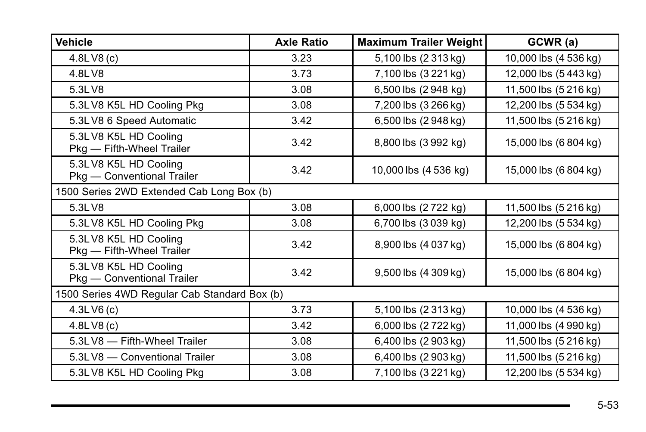| Vehicle                                             | <b>Axle Ratio</b>                            | <b>Maximum Trailer Weight</b> | GCWR (a)              |
|-----------------------------------------------------|----------------------------------------------|-------------------------------|-----------------------|
| 4.8LV8(c)                                           | 3.23                                         | 5,100 lbs (2 313 kg)          | 10,000 lbs (4 536 kg) |
| 4.8LV8                                              | 3.73                                         | 7,100 lbs (3 221 kg)          | 12,000 lbs (5443 kg)  |
| 5.3LV8                                              | 3.08                                         | 6,500 lbs (2948 kg)           | 11,500 lbs (5 216 kg) |
| 5.3LV8 K5L HD Cooling Pkg                           | 3.08                                         | 7,200 lbs (3 266 kg)          | 12,200 lbs (5 534 kg) |
| 5.3LV8 6 Speed Automatic                            | 3.42                                         | 6,500 lbs (2948 kg)           | 11,500 lbs (5 216 kg) |
| 5.3LV8 K5L HD Cooling<br>Pkg - Fifth-Wheel Trailer  | 3.42                                         | 8,800 lbs (3992 kg)           | 15,000 lbs (6 804 kg) |
| 5.3LV8 K5L HD Cooling<br>Pkg - Conventional Trailer | 3.42                                         | 10,000 lbs (4 536 kg)         | 15,000 lbs (6 804 kg) |
| 1500 Series 2WD Extended Cab Long Box (b)           |                                              |                               |                       |
| 5.3LV8                                              | 3.08                                         | 6,000 lbs (2722 kg)           | 11,500 lbs (5 216 kg) |
| 5.3LV8 K5L HD Cooling Pkg                           | 3.08                                         | 6,700 lbs (3 039 kg)          | 12,200 lbs (5 534 kg) |
| 5.3LV8 K5L HD Cooling<br>Pkg - Fifth-Wheel Trailer  | 3.42                                         | 8,900 lbs (4 037 kg)          | 15,000 lbs (6 804 kg) |
| 5.3LV8 K5L HD Cooling<br>Pkg - Conventional Trailer | 3.42                                         | 9,500 lbs (4 309 kg)          | 15,000 lbs (6 804 kg) |
|                                                     | 1500 Series 4WD Regular Cab Standard Box (b) |                               |                       |
| 4.3LV6(c)                                           | 3.73                                         | 5,100 lbs (2 313 kg)          | 10,000 lbs (4 536 kg) |
| 4.8LV8(c)                                           | 3.42                                         | 6,000 lbs (2722 kg)           | 11,000 lbs (4 990 kg) |
| 5.3LV8 - Fifth-Wheel Trailer                        | 3.08                                         | 6,400 lbs (2903 kg)           | 11,500 lbs (5 216 kg) |
| 5.3LV8 - Conventional Trailer                       | 3.08                                         | 6,400 lbs (2903 kg)           | 11,500 lbs (5 216 kg) |
| 5.3LV8 K5L HD Cooling Pkg                           | 3.08                                         | 7,100 lbs (3 221 kg)          | 12,200 lbs (5 534 kg) |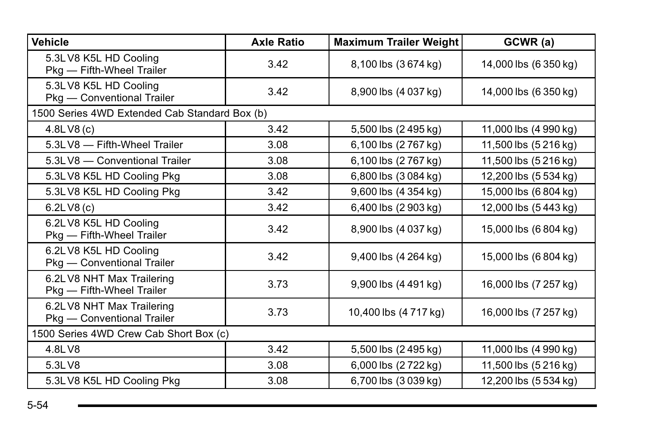| <b>Vehicle</b>                                          | <b>Axle Ratio</b> | <b>Maximum Trailer Weight</b> | GCWR (a)              |
|---------------------------------------------------------|-------------------|-------------------------------|-----------------------|
| 5.3LV8 K5L HD Cooling<br>Pkg - Fifth-Wheel Trailer      | 3.42              | 8,100 lbs (3674 kg)           | 14,000 lbs (6 350 kg) |
| 5.3LV8 K5L HD Cooling<br>Pkg - Conventional Trailer     | 3.42              | 8,900 lbs (4 037 kg)          | 14,000 lbs (6 350 kg) |
| 1500 Series 4WD Extended Cab Standard Box (b)           |                   |                               |                       |
| 4.8LV8(c)                                               | 3.42              | 5,500 lbs (2495 kg)           | 11,000 lbs (4 990 kg) |
| 5.3LV8 - Fifth-Wheel Trailer                            | 3.08              | 6,100 lbs (2767 kg)           | 11,500 lbs (5 216 kg) |
| 5.3LV8 - Conventional Trailer                           | 3.08              | 6,100 lbs (2767 kg)           | 11,500 lbs (5 216 kg) |
| 5.3LV8 K5L HD Cooling Pkg                               | 3.08              | 6,800 lbs (3 084 kg)          | 12,200 lbs (5 534 kg) |
| 5.3LV8 K5L HD Cooling Pkg                               | 3.42              | 9,600 lbs (4 354 kg)          | 15,000 lbs (6 804 kg) |
| 6.2 L V8(c)                                             | 3.42              | 6,400 lbs (2 903 kg)          | 12,000 lbs (5443 kg)  |
| 6.2LV8 K5L HD Cooling<br>Pkg - Fifth-Wheel Trailer      | 3.42              | 8,900 lbs (4 037 kg)          | 15,000 lbs (6 804 kg) |
| 6.2LV8 K5L HD Cooling<br>Pkg - Conventional Trailer     | 3.42              | 9,400 lbs (4 264 kg)          | 15,000 lbs (6 804 kg) |
| 6.2LV8 NHT Max Trailering<br>Pkg - Fifth-Wheel Trailer  | 3.73              | 9,900 lbs (4 491 kg)          | 16,000 lbs (7 257 kg) |
| 6.2LV8 NHT Max Trailering<br>Pkg - Conventional Trailer | 3.73              | 10,400 lbs (4717 kg)          | 16,000 lbs (7 257 kg) |
| 1500 Series 4WD Crew Cab Short Box (c)                  |                   |                               |                       |
| 4.8LV8                                                  | 3.42              | 5,500 lbs (2495 kg)           | 11,000 lbs (4 990 kg) |
| 5.3LV8                                                  | 3.08              | 6,000 lbs (2 722 kg)          | 11,500 lbs (5 216 kg) |
| 5.3LV8 K5L HD Cooling Pkg                               | 3.08              | 6,700 lbs (3039 kg)           | 12,200 lbs (5 534 kg) |

the control of the control of the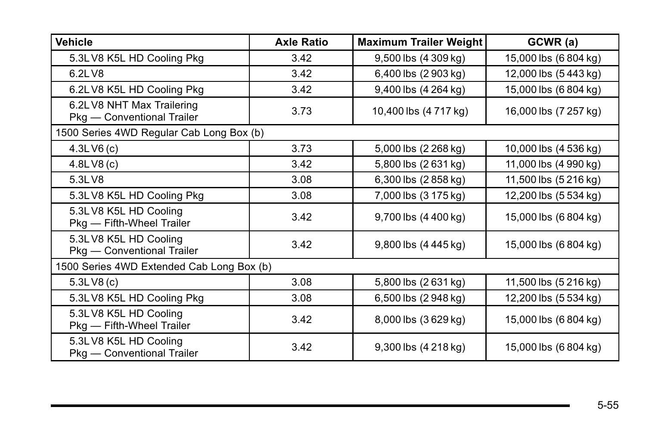| <b>Vehicle</b>                                          | <b>Axle Ratio</b> | <b>Maximum Trailer Weight</b> | GCWR (a)              |
|---------------------------------------------------------|-------------------|-------------------------------|-----------------------|
| 5.3LV8 K5L HD Cooling Pkg                               | 3.42              | $9,500$ lbs $(4\,309$ kg)     | 15,000 lbs (6 804 kg) |
| 6.21 V8                                                 | 3.42              | 6,400 lbs (2 903 kg)          | 12,000 lbs (5443 kg)  |
| 6.2LV8 K5L HD Cooling Pkg                               | 3.42              | 9,400 lbs (4 264 kg)          | 15,000 lbs (6 804 kg) |
| 6.2LV8 NHT Max Trailering<br>Pkg - Conventional Trailer | 3.73              | 10,400 lbs (4 717 kg)         | 16,000 lbs (7 257 kg) |
| 1500 Series 4WD Regular Cab Long Box (b)                |                   |                               |                       |
| 4.3LV6(c)                                               | 3.73              | 5,000 lbs (2 268 kg)          | 10,000 lbs (4 536 kg) |
| 4.8LV8(c)                                               | 3.42              | 5,800 lbs (2631 kg)           | 11,000 lbs (4 990 kg) |
| 5.3LV8                                                  | 3.08              | 6,300 lbs (2858 kg)           | 11,500 lbs (5 216 kg) |
| 5.3LV8 K5L HD Cooling Pkg                               | 3.08              | 7,000 lbs (3 175 kg)          | 12,200 lbs (5 534 kg) |
| 5.3LV8 K5L HD Cooling<br>Pkg - Fifth-Wheel Trailer      | 3.42              | 9,700 lbs (4 400 kg)          | 15,000 lbs (6 804 kg) |
| 5.3LV8 K5L HD Cooling<br>Pkg - Conventional Trailer     | 3.42              | 9,800 lbs (4 445 kg)          | 15,000 lbs (6 804 kg) |
| 1500 Series 4WD Extended Cab Long Box (b)               |                   |                               |                       |
| 5.3LV8(c)                                               | 3.08              | 5,800 lbs (2631 kg)           | 11,500 lbs (5 216 kg) |
| 5.3LV8 K5L HD Cooling Pkg                               | 3.08              | 6,500 lbs (2948 kg)           | 12,200 lbs (5 534 kg) |
| 5.3LV8 K5L HD Cooling<br>Pkg - Fifth-Wheel Trailer      | 3.42              | 8,000 lbs (3629 kg)           | 15,000 lbs (6 804 kg) |
| 5.3LV8 K5L HD Cooling<br>Pkg - Conventional Trailer     | 3.42              | 9,300 lbs (4 218 kg)          | 15,000 lbs (6 804 kg) |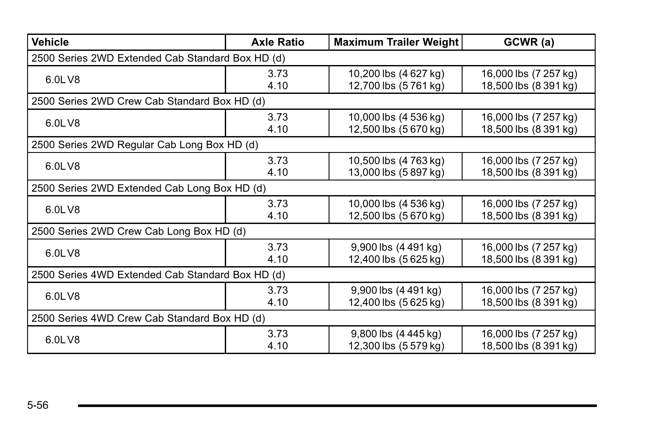| <b>Vehicle</b>                                   | <b>Axle Ratio</b> | <b>Maximum Trailer Weight</b>                                | GCWR (a)                                       |
|--------------------------------------------------|-------------------|--------------------------------------------------------------|------------------------------------------------|
| 2500 Series 2WD Extended Cab Standard Box HD (d) |                   |                                                              |                                                |
| 6.0LV8                                           | 3.73<br>4.10      | 10,200 lbs (4 627 kg)<br>12,700 lbs (5761 kg)                | 16,000 lbs (7 257 kg)<br>18,500 lbs (8 391 kg) |
| 2500 Series 2WD Crew Cab Standard Box HD (d)     |                   |                                                              |                                                |
| 6.0LV8                                           | 3.73<br>4.10      | 10,000 lbs (4 536 kg)<br>12,500 lbs (5 670 kg)               | 16,000 lbs (7 257 kg)<br>18,500 lbs (8 391 kg) |
| 2500 Series 2WD Regular Cab Long Box HD (d)      |                   |                                                              |                                                |
| 6.0LV8                                           | 3.73<br>4.10      | 10,500 lbs (4 763 kg)<br>13,000 lbs (5897 kg)                | 16,000 lbs (7 257 kg)<br>18,500 lbs (8 391 kg) |
| 2500 Series 2WD Extended Cab Long Box HD (d)     |                   |                                                              |                                                |
| 6.0LV8                                           | 3.73<br>4.10      | 10,000 lbs (4 536 kg)<br>12,500 lbs (5 670 kg)               | 16,000 lbs (7 257 kg)<br>18,500 lbs (8 391 kg) |
| 2500 Series 2WD Crew Cab Long Box HD (d)         |                   |                                                              |                                                |
| 6.0LV8                                           | 3.73<br>4.10      | $9,900$ lbs $(4\,491\,\mathrm{kg})$<br>12,400 lbs (5 625 kg) | 16,000 lbs (7 257 kg)<br>18,500 lbs (8 391 kg) |
| 2500 Series 4WD Extended Cab Standard Box HD (d) |                   |                                                              |                                                |
| 6.0LV8                                           | 3.73<br>4.10      | 9,900 lbs (4 491 kg)<br>12,400 lbs (5 625 kg)                | 16,000 lbs (7 257 kg)<br>18,500 lbs (8 391 kg) |
| 2500 Series 4WD Crew Cab Standard Box HD (d)     |                   |                                                              |                                                |
| 6.0LV8                                           | 3.73<br>4.10      | 9,800 lbs (4 445 kg)<br>12,300 lbs (5 579 kg)                | 16,000 lbs (7 257 kg)<br>18,500 lbs (8 391 kg) |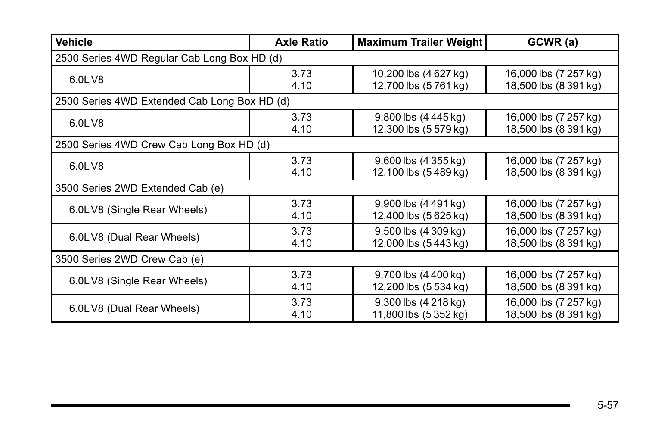| <b>Vehicle</b>                               | <b>Axle Ratio</b>                        | <b>Maximum Trailer Weight</b>       | GCWR (a)              |  |
|----------------------------------------------|------------------------------------------|-------------------------------------|-----------------------|--|
| 2500 Series 4WD Regular Cab Long Box HD (d)  |                                          |                                     |                       |  |
| 6.0LV8                                       | 3.73                                     | 10,200 lbs (4 627 kg)               | 16,000 lbs (7 257 kg) |  |
|                                              | 4.10                                     | 12,700 lbs (5 761 kg)               | 18,500 lbs (8 391 kg) |  |
| 2500 Series 4WD Extended Cab Long Box HD (d) |                                          |                                     |                       |  |
| 6.0LV8                                       | 3.73                                     | 9,800 lbs (4 445 kg)                | 16,000 lbs (7 257 kg) |  |
|                                              | 4.10                                     | 12,300 lbs (5 579 kg)               | 18,500 lbs (8 391 kg) |  |
|                                              | 2500 Series 4WD Crew Cab Long Box HD (d) |                                     |                       |  |
| 6.0LV8                                       | 3.73                                     | $9,600$ lbs $(4\,355\,\mathrm{kg})$ | 16,000 lbs (7 257 kg) |  |
|                                              | 4.10                                     | 12,100 lbs (5489 kg)                | 18,500 lbs (8 391 kg) |  |
| 3500 Series 2WD Extended Cab (e)             |                                          |                                     |                       |  |
| 6.0LV8 (Single Rear Wheels)                  | 3.73                                     | $9,900$ lbs $(4\,491\,\text{kg})$   | 16,000 lbs (7 257 kg) |  |
|                                              | 4.10                                     | 12,400 lbs (5 625 kg)               | 18,500 lbs (8 391 kg) |  |
| 6.0LV8 (Dual Rear Wheels)                    | 3.73                                     | 9,500 lbs (4 309 kg)                | 16,000 lbs (7 257 kg) |  |
|                                              | 4.10                                     | 12,000 lbs (5 443 kg)               | 18,500 lbs (8 391 kg) |  |
| 3500 Series 2WD Crew Cab (e)                 |                                          |                                     |                       |  |
| 6.0LV8 (Single Rear Wheels)                  | 3.73                                     | $9,700$ lbs $(4,400)$ kg)           | 16,000 lbs (7 257 kg) |  |
|                                              | 4.10                                     | 12,200 lbs (5 534 kg)               | 18,500 lbs (8 391 kg) |  |
| 6.0LV8 (Dual Rear Wheels)                    | 3.73                                     | 9,300 lbs (4 218 kg)                | 16,000 lbs (7 257 kg) |  |
|                                              | 4.10                                     | 11,800 lbs (5 352 kg)               | 18,500 lbs (8 391 kg) |  |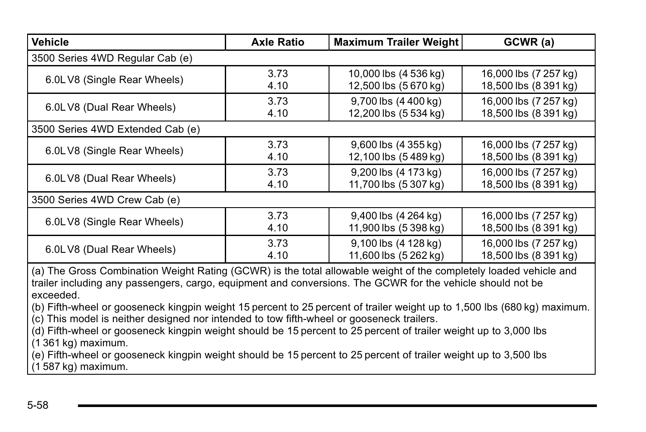| <b>Vehicle</b>                                                                                                                                                                                                                                                                                                                                                                                                                                                        | <b>Maximum Trailer Weight</b><br><b>Axle Ratio</b> |                                     | GCWR (a)              |  |
|-----------------------------------------------------------------------------------------------------------------------------------------------------------------------------------------------------------------------------------------------------------------------------------------------------------------------------------------------------------------------------------------------------------------------------------------------------------------------|----------------------------------------------------|-------------------------------------|-----------------------|--|
| 3500 Series 4WD Regular Cab (e)                                                                                                                                                                                                                                                                                                                                                                                                                                       |                                                    |                                     |                       |  |
| 6.0LV8 (Single Rear Wheels)                                                                                                                                                                                                                                                                                                                                                                                                                                           | 3.73                                               | 10,000 lbs (4 536 kg)               | 16,000 lbs (7 257 kg) |  |
|                                                                                                                                                                                                                                                                                                                                                                                                                                                                       | 4.10                                               | 12,500 lbs (5670 kg)                | 18,500 lbs (8 391 kg) |  |
| 6.0LV8 (Dual Rear Wheels)                                                                                                                                                                                                                                                                                                                                                                                                                                             | 3.73                                               | 9,700 lbs (4 400 kg)                | 16,000 lbs (7 257 kg) |  |
|                                                                                                                                                                                                                                                                                                                                                                                                                                                                       | 4.10                                               | 12,200 lbs (5 534 kg)               | 18,500 lbs (8 391 kg) |  |
| 3500 Series 4WD Extended Cab (e)                                                                                                                                                                                                                                                                                                                                                                                                                                      |                                                    |                                     |                       |  |
| 6.0LV8 (Single Rear Wheels)                                                                                                                                                                                                                                                                                                                                                                                                                                           | 3.73                                               | $9,600$ lbs $(4\,355\,\mathrm{kg})$ | 16,000 lbs (7 257 kg) |  |
|                                                                                                                                                                                                                                                                                                                                                                                                                                                                       | 4.10                                               | 12,100 lbs (5489 kg)                | 18,500 lbs (8 391 kg) |  |
| 6.0LV8 (Dual Rear Wheels)                                                                                                                                                                                                                                                                                                                                                                                                                                             | 3.73                                               | 9,200 lbs (4 173 kg)                | 16,000 lbs (7 257 kg) |  |
|                                                                                                                                                                                                                                                                                                                                                                                                                                                                       | 4.10                                               | 11,700 lbs (5 307 kg)               | 18,500 lbs (8 391 kg) |  |
| 3500 Series 4WD Crew Cab (e)                                                                                                                                                                                                                                                                                                                                                                                                                                          |                                                    |                                     |                       |  |
| 6.0LV8 (Single Rear Wheels)                                                                                                                                                                                                                                                                                                                                                                                                                                           | 3.73                                               | 9,400 lbs (4 264 kg)                | 16,000 lbs (7 257 kg) |  |
|                                                                                                                                                                                                                                                                                                                                                                                                                                                                       | 4.10                                               | 11,900 lbs (5 398 kg)               | 18,500 lbs (8 391 kg) |  |
| 6.0LV8 (Dual Rear Wheels)                                                                                                                                                                                                                                                                                                                                                                                                                                             | 3.73                                               | 9,100 lbs (4 128 kg)                | 16,000 lbs (7 257 kg) |  |
|                                                                                                                                                                                                                                                                                                                                                                                                                                                                       | 4.10                                               | 11,600 lbs (5 262 kg)               | 18,500 lbs (8 391 kg) |  |
| (a) The Gross Combination Weight Rating (GCWR) is the total allowable weight of the completely loaded vehicle and<br>trailer including any passengers, cargo, equipment and conversions. The GCWR for the vehicle should not be<br>exceeded.<br>(b) Fifth-wheel or gooseneck kingpin weight 15 percent to 25 percent of trailer weight up to 1,500 lbs (680 kg) maximum.<br>(c) This model is neither designed nor intended to tow fifth-wheel or gooseneck trailers. |                                                    |                                     |                       |  |

(d) Fifth-wheel or gooseneck kingpin weight should be 15 percent to 25 percent of trailer weight up to 3,000 lbs (1 361 kg) maximum.

(e) Fifth-wheel or gooseneck kingpin weight should be 15 percent to 25 percent of trailer weight up to 3,500 lbs (1 587 kg) maximum.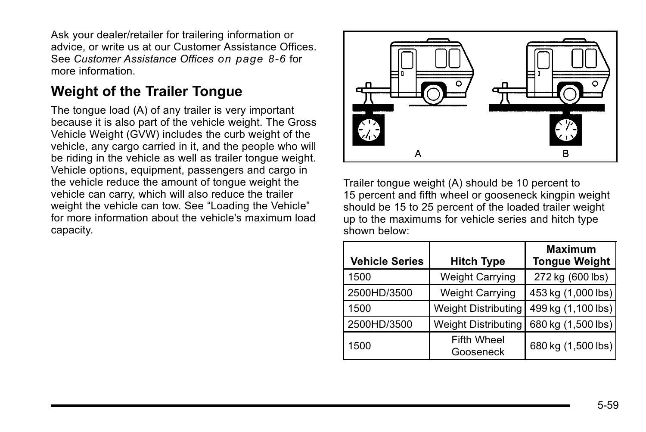Ask your dealer/retailer for trailering information or advice, or write us at our Customer Assistance Offices. See *[Customer Assistance Offices](#page--1-0) on page 8‑6* for more information.

## **Weight of the Trailer Tongue**

The tongue load (A) of any trailer is very important because it is also part of the vehicle weight. The Gross Vehicle Weight (GVW) includes the curb weight of the vehicle, any cargo carried in it, and the people who will be riding in the vehicle as well as trailer tongue weight. Vehicle options, equipment, passengers and cargo in the vehicle reduce the amount of tongue weight the vehicle can carry, which will also reduce the trailer weight the vehicle can tow. See "Loading the Vehicle" for more information about the vehicle's maximum load capacity.



Trailer tongue weight (A) should be 10 percent to 15 percent and fifth wheel or gooseneck kingpin weight should be 15 to 25 percent of the loaded trailer weight up to the maximums for vehicle series and hitch type shown below:

| <b>Vehicle Series</b> | <b>Hitch Type</b>               | <b>Maximum</b><br><b>Tongue Weight</b> |
|-----------------------|---------------------------------|----------------------------------------|
| 1500                  | <b>Weight Carrying</b>          | 272 kg (600 lbs)                       |
| 2500HD/3500           | <b>Weight Carrying</b>          | 453 kg (1,000 lbs)                     |
| 1500                  | <b>Weight Distributing</b>      | 499 kg (1,100 lbs)                     |
| 2500HD/3500           | <b>Weight Distributing</b>      | 680 kg (1,500 lbs)                     |
| 1500                  | <b>Fifth Wheel</b><br>Gooseneck | 680 kg (1,500 lbs)                     |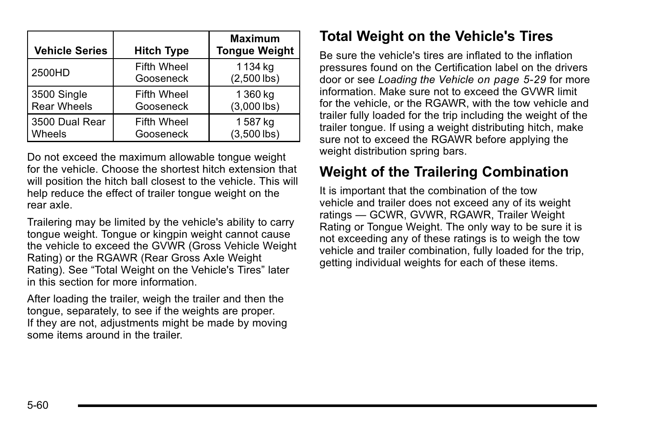| <b>Vehicle Series</b> | <b>Hitch Type</b>               | <b>Maximum</b><br><b>Tongue Weight</b> |
|-----------------------|---------------------------------|----------------------------------------|
| 2500HD                | <b>Fifth Wheel</b><br>Gooseneck | 1134 kg<br>$(2,500$ lbs)               |
| 3500 Single           | <b>Fifth Wheel</b>              | 1 360 kg                               |
| Rear Wheels           | Gooseneck                       | $(3,000$ lbs)                          |
| 3500 Dual Rear        | <b>Fifth Wheel</b>              | 1587 kg                                |
| <b>Wheels</b>         | Gooseneck                       | $(3,500$ lbs)                          |

Do not exceed the maximum allowable tongue weight for the vehicle. Choose the shortest hitch extension that will position the hitch ball closest to the vehicle. This will help reduce the effect of trailer tongue weight on the rear axle.

Trailering may be limited by the vehicle's ability to carry tongue weight. Tongue or kingpin weight cannot cause the vehicle to exceed the GVWR (Gross Vehicle Weight Rating) or the RGAWR (Rear Gross Axle Weight Rating). See "Total Weight on the Vehicle's Tires" later in this section for more information.

After loading the trailer, weigh the trailer and then the tongue, separately, to see if the weights are proper. If they are not, adjustments might be made by moving some items around in the trailer.

## **Total Weight on the Vehicle's Tires**

Be sure the vehicle's tires are inflated to the inflation pressures found on the Certification label on the drivers door or see *[Loading the Vehicle](#page--1-0) on page 5‑29* for more information. Make sure not to exceed the GVWR limit for the vehicle, or the RGAWR, with the tow vehicle and trailer fully loaded for the trip including the weight of the trailer tongue. If using a weight distributing hitch, make sure not to exceed the RGAWR before applying the weight distribution spring bars.

## **Weight of the Trailering Combination**

It is important that the combination of the tow vehicle and trailer does not exceed any of its weight ratings — GCWR, GVWR, RGAWR, Trailer Weight Rating or Tongue Weight. The only way to be sure it is not exceeding any of these ratings is to weigh the tow vehicle and trailer combination, fully loaded for the trip, getting individual weights for each of these items.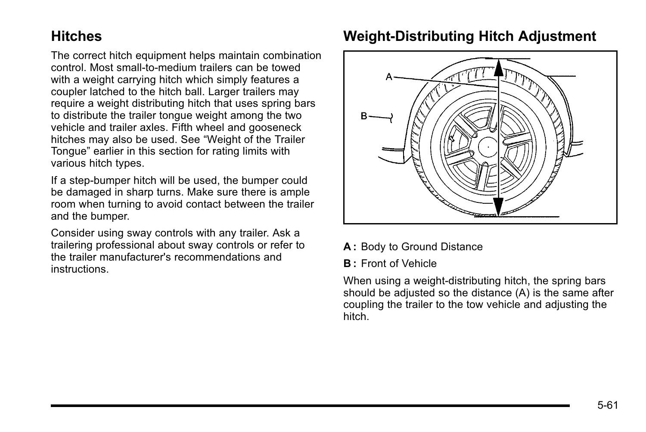### **Hitches**

The correct hitch equipment helps maintain combination control. Most small-to-medium trailers can be towed with a weight carrying hitch which simply features a coupler latched to the hitch ball. Larger trailers may require a weight distributing hitch that uses spring bars to distribute the trailer tongue weight among the two vehicle and trailer axles. Fifth wheel and gooseneck hitches may also be used. See "Weight of the Trailer Tongue" earlier in this section for rating limits with various hitch types.

If a step-bumper hitch will be used, the bumper could be damaged in sharp turns. Make sure there is ample room when turning to avoid contact between the trailer and the bumper.

Consider using sway controls with any trailer. Ask a trailering professional about sway controls or refer to the trailer manufacturer's recommendations and instructions.

## **Weight‐Distributing Hitch Adjustment**



- **A :** Body to Ground Distance
- **B :** Front of Vehicle

When using a weight-distributing hitch, the spring bars should be adjusted so the distance (A) is the same after coupling the trailer to the tow vehicle and adjusting the hitch.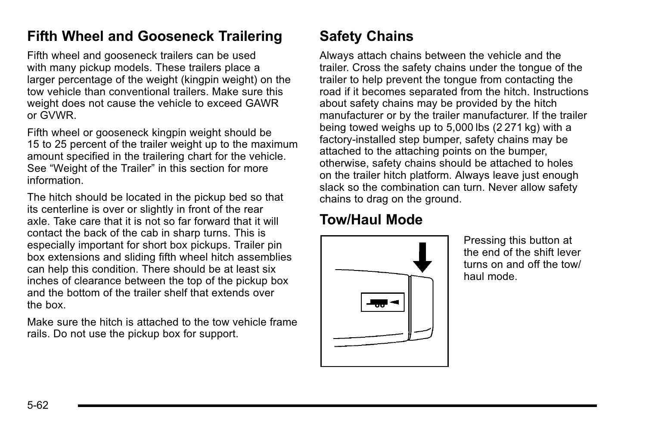### **Fifth Wheel and Gooseneck Trailering**

Fifth wheel and gooseneck trailers can be used with many pickup models. These trailers place a larger percentage of the weight (kingpin weight) on the tow vehicle than conventional trailers. Make sure this weight does not cause the vehicle to exceed GAWR or GVWR.

Fifth wheel or gooseneck kingpin weight should be 15 to 25 percent of the trailer weight up to the maximum amount specified in the trailering chart for the vehicle. See "Weight of the Trailer" in this section for more information.

The hitch should be located in the pickup bed so that its centerline is over or slightly in front of the rear axle. Take care that it is not so far forward that it will contact the back of the cab in sharp turns. This is especially important for short box pickups. Trailer pin box extensions and sliding fifth wheel hitch assemblies can help this condition. There should be at least six inches of clearance between the top of the pickup box and the bottom of the trailer shelf that extends over the box.

Make sure the hitch is attached to the tow vehicle frame rails. Do not use the pickup box for support.

# **Safety Chains**

Always attach chains between the vehicle and the trailer. Cross the safety chains under the tongue of the trailer to help prevent the tongue from contacting the road if it becomes separated from the hitch. Instructions about safety chains may be provided by the hitch manufacturer or by the trailer manufacturer. If the trailer being towed weighs up to 5,000 lbs (2 271 kg) with a factory-installed step bumper, safety chains may be attached to the attaching points on the bumper, otherwise, safety chains should be attached to holes on the trailer hitch platform. Always leave just enough slack so the combination can turn. Never allow safety chains to drag on the ground.

# **Tow/Haul Mode**



Pressing this button at the end of the shift lever turns on and off the tow/ haul mode.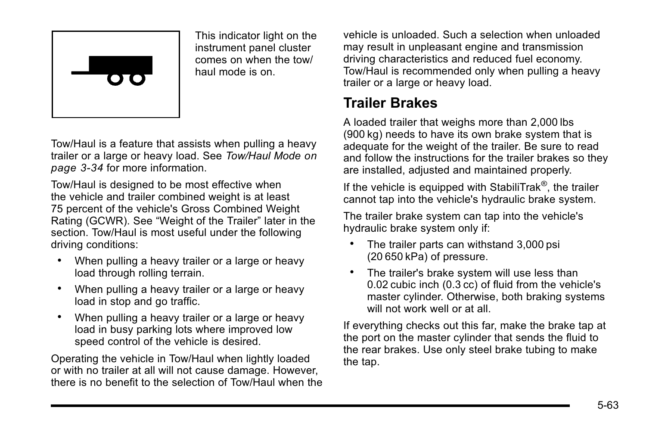

This indicator light on the instrument panel cluster comes on when the tow/ haul mode is on.

Tow/Haul is a feature that assists when pulling a heavy trailer or a large or heavy load. See *[Tow/Haul Mode](#page--1-0) on [page 3](#page--1-0)‑34* for more information.

Tow/Haul is designed to be most effective when the vehicle and trailer combined weight is at least 75 percent of the vehicle's Gross Combined Weight Rating (GCWR). See "Weight of the Trailer" later in the section. Tow/Haul is most useful under the following driving conditions:

- . When pulling a heavy trailer or a large or heavy load through rolling terrain.
- . When pulling a heavy trailer or a large or heavy load in stop and go traffic.
- . When pulling a heavy trailer or a large or heavy load in busy parking lots where improved low speed control of the vehicle is desired.

Operating the vehicle in Tow/Haul when lightly loaded or with no trailer at all will not cause damage. However, there is no benefit to the selection of Tow/Haul when the vehicle is unloaded. Such a selection when unloaded may result in unpleasant engine and transmission driving characteristics and reduced fuel economy. Tow/Haul is recommended only when pulling a heavy trailer or a large or heavy load.

## **Trailer Brakes**

A loaded trailer that weighs more than 2,000 lbs (900 kg) needs to have its own brake system that is adequate for the weight of the trailer. Be sure to read and follow the instructions for the trailer brakes so they are installed, adjusted and maintained properly.

If the vehicle is equipped with StabiliTrak<sup>®</sup>, the trailer cannot tap into the vehicle's hydraulic brake system.

The trailer brake system can tap into the vehicle's hydraulic brake system only if:

- The trailer parts can withstand 3,000 psi (20 650 kPa) of pressure.
- . The trailer's brake system will use less than 0.02 cubic inch (0.3 cc) of fluid from the vehicle's master cylinder. Otherwise, both braking systems will not work well or at all.

If everything checks out this far, make the brake tap at the port on the master cylinder that sends the fluid to the rear brakes. Use only steel brake tubing to make the tap.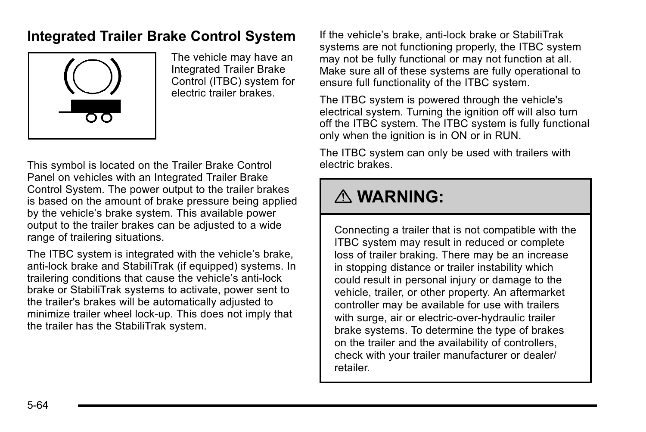### **Integrated Trailer Brake Control System**



The vehicle may have an Integrated Trailer Brake Control (ITBC) system for electric trailer brakes.

This symbol is located on the Trailer Brake Control Panel on vehicles with an Integrated Trailer Brake Control System. The power output to the trailer brakes is based on the amount of brake pressure being applied by the vehicle's brake system. This available power output to the trailer brakes can be adjusted to a wide range of trailering situations.

The ITBC system is integrated with the vehicle's brake, anti‐lock brake and StabiliTrak (if equipped) systems. In trailering conditions that cause the vehicle's anti‐lock brake or StabiliTrak systems to activate, power sent to the trailer's brakes will be automatically adjusted to minimize trailer wheel lock-up. This does not imply that the trailer has the StabiliTrak system.

If the vehicle's brake, anti‐lock brake or StabiliTrak systems are not functioning properly, the ITBC system may not be fully functional or may not function at all. Make sure all of these systems are fully operational to ensure full functionality of the ITBC system.

The ITBC system is powered through the vehicle's electrical system. Turning the ignition off will also turn off the ITBC system. The ITBC system is fully functional only when the ignition is in ON or in RUN.

The ITBC system can only be used with trailers with electric brakes.

# { **WARNING:**

Connecting a trailer that is not compatible with the ITBC system may result in reduced or complete loss of trailer braking. There may be an increase in stopping distance or trailer instability which could result in personal injury or damage to the vehicle, trailer, or other property. An aftermarket controller may be available for use with trailers with surge, air or electric-over-hydraulic trailer brake systems. To determine the type of brakes on the trailer and the availability of controllers, check with your trailer manufacturer or dealer/ retailer.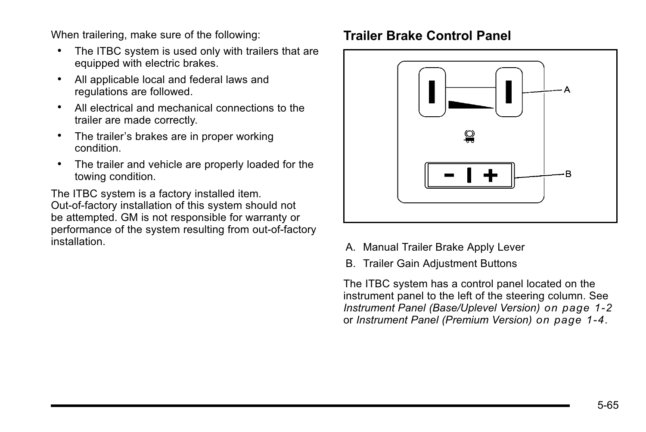When trailering, make sure of the following:

- . The ITBC system is used only with trailers that are equipped with electric brakes.
- . All applicable local and federal laws and regulations are followed.
- . All electrical and mechanical connections to the trailer are made correctly.
- The trailer's brakes are in proper working condition.
- . The trailer and vehicle are properly loaded for the towing condition.

The ITBC system is a factory installed item. Out‐of‐factory installation of this system should not be attempted. GM is not responsible for warranty or performance of the system resulting from out‐of‐factory installation.

#### **Trailer Brake Control Panel**



- A. Manual Trailer Brake Apply Lever
- B. Trailer Gain Adjustment Buttons

The ITBC system has a control panel located on the instrument panel to the left of the steering column. See *[Instrument Panel \(Base/Uplevel Version\)](#page--1-0) on page 1‑2* or *[Instrument Panel \(Premium Version\)](#page--1-0) on page 1‑4*.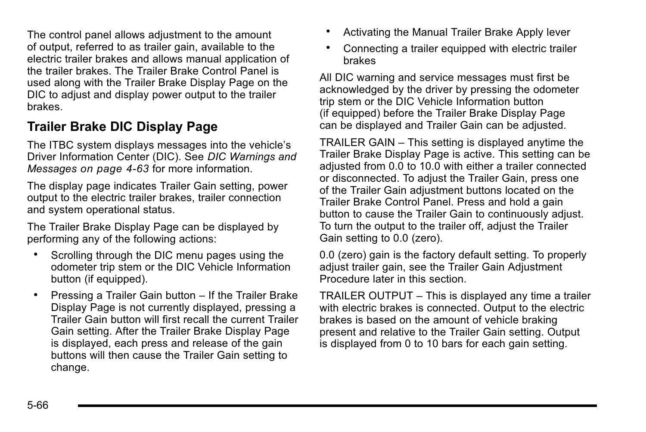The control panel allows adjustment to the amount of output, referred to as trailer gain, available to the electric trailer brakes and allows manual application of the trailer brakes. The Trailer Brake Control Panel is used along with the Trailer Brake Display Page on the DIC to adjust and display power output to the trailer brakes.

### **Trailer Brake DIC Display Page**

The ITBC system displays messages into the vehicle's Driver Information Center (DIC). See *[DIC Warnings and](#page--1-0) Messages [on page 4](#page--1-0)‑63* for more information.

The display page indicates Trailer Gain setting, power output to the electric trailer brakes, trailer connection and system operational status.

The Trailer Brake Display Page can be displayed by performing any of the following actions:

- . Scrolling through the DIC menu pages using the odometer trip stem or the DIC Vehicle Information button (if equipped).
- . Pressing a Trailer Gain button If the Trailer Brake Display Page is not currently displayed, pressing a Trailer Gain button will first recall the current Trailer Gain setting. After the Trailer Brake Display Page is displayed, each press and release of the gain buttons will then cause the Trailer Gain setting to change.
- . Activating the Manual Trailer Brake Apply lever
- . Connecting a trailer equipped with electric trailer brakes

All DIC warning and service messages must first be acknowledged by the driver by pressing the odometer trip stem or the DIC Vehicle Information button (if equipped) before the Trailer Brake Display Page can be displayed and Trailer Gain can be adjusted.

TRAILER GAIN – This setting is displayed anytime the Trailer Brake Display Page is active. This setting can be adjusted from 0.0 to 10.0 with either a trailer connected or disconnected. To adjust the Trailer Gain, press one of the Trailer Gain adjustment buttons located on the Trailer Brake Control Panel. Press and hold a gain button to cause the Trailer Gain to continuously adjust. To turn the output to the trailer off, adjust the Trailer Gain setting to 0.0 (zero).

0.0 (zero) gain is the factory default setting. To properly adjust trailer gain, see the Trailer Gain Adjustment Procedure later in this section.

TRAILER OUTPUT – This is displayed any time a trailer with electric brakes is connected. Output to the electric brakes is based on the amount of vehicle braking present and relative to the Trailer Gain setting. Output is displayed from 0 to 10 bars for each gain setting.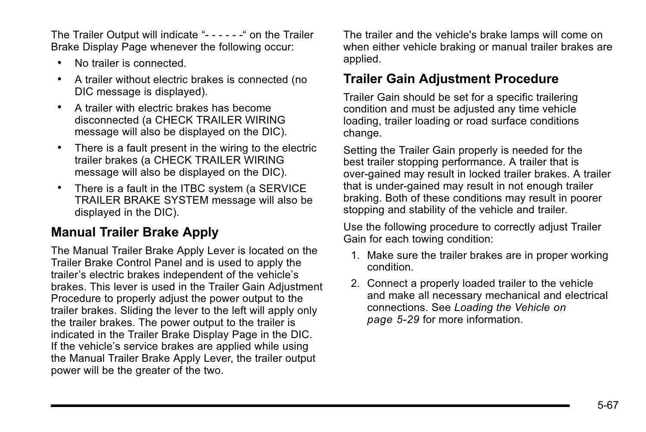The Trailer Output will indicate "- - - - - -" on the Trailer Brake Display Page whenever the following occur:

- . No trailer is connected.
- . A trailer without electric brakes is connected (no DIC message is displayed).
- . A trailer with electric brakes has become disconnected (a CHECK TRAILER WIRING message will also be displayed on the DIC).
- . There is a fault present in the wiring to the electric trailer brakes (a CHECK TRAILER WIRING message will also be displayed on the DIC).
- . There is a fault in the ITBC system (a SERVICE TRAILER BRAKE SYSTEM message will also be displayed in the DIC).

#### **Manual Trailer Brake Apply**

The Manual Trailer Brake Apply Lever is located on the Trailer Brake Control Panel and is used to apply the trailer's electric brakes independent of the vehicle's brakes. This lever is used in the Trailer Gain Adjustment Procedure to properly adjust the power output to the trailer brakes. Sliding the lever to the left will apply only the trailer brakes. The power output to the trailer is indicated in the Trailer Brake Display Page in the DIC. If the vehicle's service brakes are applied while using the Manual Trailer Brake Apply Lever, the trailer output power will be the greater of the two.

The trailer and the vehicle's brake lamps will come on when either vehicle braking or manual trailer brakes are applied.

#### **Trailer Gain Adjustment Procedure**

Trailer Gain should be set for a specific trailering condition and must be adjusted any time vehicle loading, trailer loading or road surface conditions change.

Setting the Trailer Gain properly is needed for the best trailer stopping performance. A trailer that is over-gained may result in locked trailer brakes. A trailer that is under-gained may result in not enough trailer braking. Both of these conditions may result in poorer stopping and stability of the vehicle and trailer.

Use the following procedure to correctly adjust Trailer Gain for each towing condition:

- 1. Make sure the trailer brakes are in proper working condition.
- 2. Connect a properly loaded trailer to the vehicle and make all necessary mechanical and electrical connections. See *[Loading the Vehicle](#page--1-0) on [page 5](#page--1-0)‑29* for more information.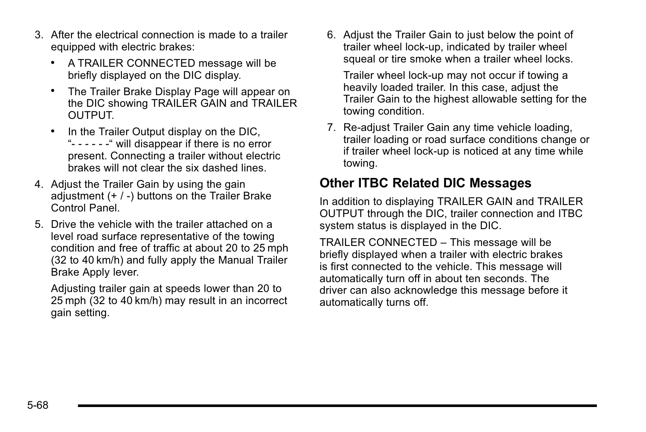- 3. After the electrical connection is made to a trailer equipped with electric brakes:
	- . A TRAILER CONNECTED message will be briefly displayed on the DIC display.
	- . The Trailer Brake Display Page will appear on the DIC showing TRAILER GAIN and TRAILER OUTPUT.
	- . In the Trailer Output display on the DIC, "- - - - - -" will disappear if there is no error present. Connecting a trailer without electric brakes will not clear the six dashed lines.
- 4. Adjust the Trailer Gain by using the gain adjustment  $(+ / -)$  buttons on the Trailer Brake Control Panel.
- 5. Drive the vehicle with the trailer attached on a level road surface representative of the towing condition and free of traffic at about 20 to 25 mph (32 to 40 km/h) and fully apply the Manual Trailer Brake Apply lever.

Adjusting trailer gain at speeds lower than 20 to 25 mph (32 to 40 km/h) may result in an incorrect gain setting.

6. Adjust the Trailer Gain to just below the point of trailer wheel lock-up, indicated by trailer wheel squeal or tire smoke when a trailer wheel locks.

Trailer wheel lock-up may not occur if towing a heavily loaded trailer. In this case, adjust the Trailer Gain to the highest allowable setting for the towing condition.

7. Re-adjust Trailer Gain any time vehicle loading, trailer loading or road surface conditions change or if trailer wheel lock-up is noticed at any time while towing.

#### **Other ITBC Related DIC Messages**

In addition to displaying TRAILER GAIN and TRAILER OUTPUT through the DIC, trailer connection and ITBC system status is displayed in the DIC.

TRAILER CONNECTED – This message will be briefly displayed when a trailer with electric brakes is first connected to the vehicle. This message will automatically turn off in about ten seconds. The driver can also acknowledge this message before it automatically turns off.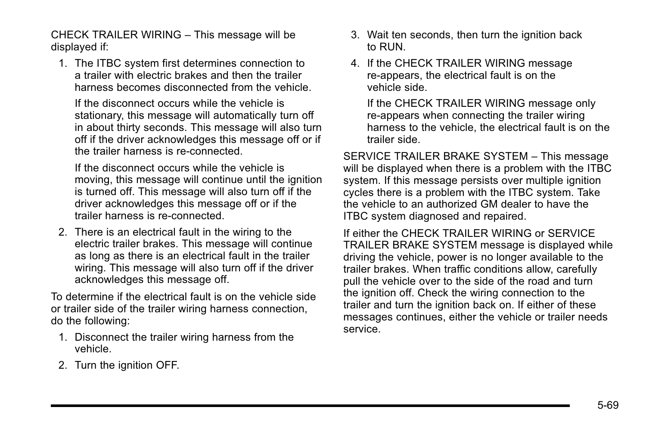CHECK TRAILER WIRING – This message will be displayed if:

1. The ITBC system first determines connection to a trailer with electric brakes and then the trailer harness becomes disconnected from the vehicle.

If the disconnect occurs while the vehicle is stationary, this message will automatically turn off in about thirty seconds. This message will also turn off if the driver acknowledges this message off or if the trailer harness is re-connected.

If the disconnect occurs while the vehicle is moving, this message will continue until the ignition is turned off. This message will also turn off if the driver acknowledges this message off or if the trailer harness is re-connected.

2. There is an electrical fault in the wiring to the electric trailer brakes. This message will continue as long as there is an electrical fault in the trailer wiring. This message will also turn off if the driver acknowledges this message off.

To determine if the electrical fault is on the vehicle side or trailer side of the trailer wiring harness connection, do the following:

- 1. Disconnect the trailer wiring harness from the vehicle.
- 2. Turn the ignition OFF.
- 3. Wait ten seconds, then turn the ignition back to RUN.
- 4. If the CHECK TRAILER WIRING message re-appears, the electrical fault is on the vehicle side.

If the CHECK TRAILER WIRING message only re-appears when connecting the trailer wiring harness to the vehicle, the electrical fault is on the trailer side.

SERVICE TRAILER BRAKE SYSTEM – This message will be displayed when there is a problem with the ITBC system. If this message persists over multiple ignition cycles there is a problem with the ITBC system. Take the vehicle to an authorized GM dealer to have the ITBC system diagnosed and repaired.

If either the CHECK TRAILER WIRING or SERVICE TRAILER BRAKE SYSTEM message is displayed while driving the vehicle, power is no longer available to the trailer brakes. When traffic conditions allow, carefully pull the vehicle over to the side of the road and turn the ignition off. Check the wiring connection to the trailer and turn the ignition back on. If either of these messages continues, either the vehicle or trailer needs service.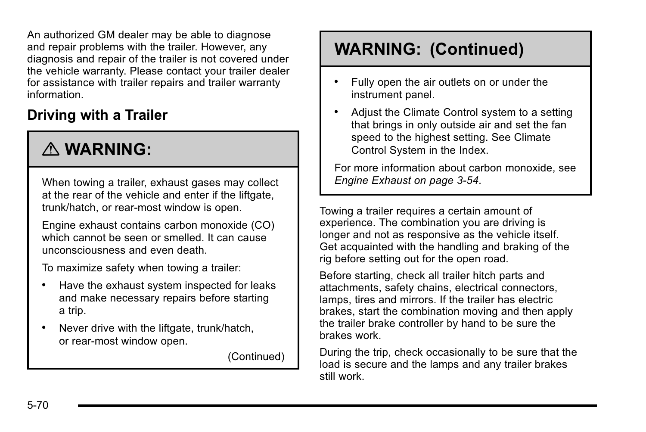An authorized GM dealer may be able to diagnose and repair problems with the trailer. However, any diagnosis and repair of the trailer is not covered under the vehicle warranty. Please contact your trailer dealer for assistance with trailer repairs and trailer warranty information.

## **Driving with a Trailer**

# { **WARNING:**

When towing a trailer, exhaust gases may collect at the rear of the vehicle and enter if the liftgate. trunk/hatch, or rear-most window is open.

Engine exhaust contains carbon monoxide (CO) which cannot be seen or smelled. It can cause unconsciousness and even death.

To maximize safety when towing a trailer:

- . Have the exhaust system inspected for leaks and make necessary repairs before starting a trip.
- . Never drive with the liftgate, trunk/hatch, or rear-most window open.

(Continued)

# **WARNING: (Continued)**

- . Fully open the air outlets on or under the instrument panel.
- . Adjust the Climate Control system to a setting that brings in only outside air and set the fan speed to the highest setting. See Climate Control System in the Index.

For more information about carbon monoxide, see *[Engine Exhaust on page 3](#page--1-0)‑54*.

Towing a trailer requires a certain amount of experience. The combination you are driving is longer and not as responsive as the vehicle itself. Get acquainted with the handling and braking of the rig before setting out for the open road.

Before starting, check all trailer hitch parts and attachments, safety chains, electrical connectors, lamps, tires and mirrors. If the trailer has electric brakes, start the combination moving and then apply the trailer brake controller by hand to be sure the brakes work.

During the trip, check occasionally to be sure that the load is secure and the lamps and any trailer brakes still work.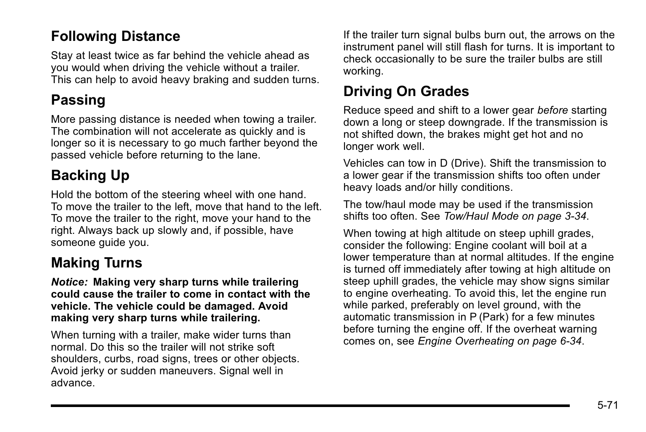## **Following Distance**

Stay at least twice as far behind the vehicle ahead as you would when driving the vehicle without a trailer. This can help to avoid heavy braking and sudden turns.

## **Passing**

More passing distance is needed when towing a trailer. The combination will not accelerate as quickly and is longer so it is necessary to go much farther beyond the passed vehicle before returning to the lane.

# **Backing Up**

Hold the bottom of the steering wheel with one hand. To move the trailer to the left, move that hand to the left. To move the trailer to the right, move your hand to the right. Always back up slowly and, if possible, have someone guide you.

# **Making Turns**

*Notice:* **Making very sharp turns while trailering could cause the trailer to come in contact with the vehicle. The vehicle could be damaged. Avoid making very sharp turns while trailering.**

When turning with a trailer, make wider turns than normal. Do this so the trailer will not strike soft shoulders, curbs, road signs, trees or other objects. Avoid jerky or sudden maneuvers. Signal well in advance.

If the trailer turn signal bulbs burn out, the arrows on the instrument panel will still flash for turns. It is important to check occasionally to be sure the trailer bulbs are still working.

## **Driving On Grades**

Reduce speed and shift to a lower gear *before* starting down a long or steep downgrade. If the transmission is not shifted down, the brakes might get hot and no longer work well.

Vehicles can tow in D (Drive). Shift the transmission to a lower gear if the transmission shifts too often under heavy loads and/or hilly conditions.

The tow/haul mode may be used if the transmission shifts too often. See *[Tow/Haul Mode on page 3](#page--1-0)‑34*.

When towing at high altitude on steep uphill grades, consider the following: Engine coolant will boil at a lower temperature than at normal altitudes. If the engine is turned off immediately after towing at high altitude on steep uphill grades, the vehicle may show signs similar to engine overheating. To avoid this, let the engine run while parked, preferably on level ground, with the automatic transmission in P (Park) for a few minutes before turning the engine off. If the overheat warning comes on, see *[Engine Overheating on page 6](#page--1-0)‑34*.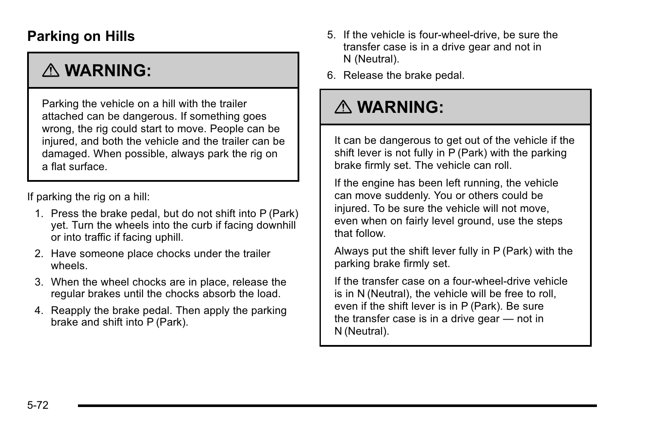## **Parking on Hills**

# { **WARNING:**

Parking the vehicle on a hill with the trailer attached can be dangerous. If something goes wrong, the rig could start to move. People can be injured, and both the vehicle and the trailer can be damaged. When possible, always park the rig on a flat surface.

If parking the rig on a hill:

- 1. Press the brake pedal, but do not shift into P (Park) yet. Turn the wheels into the curb if facing downhill or into traffic if facing uphill.
- 2. Have someone place chocks under the trailer wheels.
- 3. When the wheel chocks are in place, release the regular brakes until the chocks absorb the load.
- 4. Reapply the brake pedal. Then apply the parking brake and shift into P (Park).
- 5. If the vehicle is four-wheel-drive, be sure the transfer case is in a drive gear and not in N (Neutral).
- 6. Release the brake pedal.

# { **WARNING:**

It can be dangerous to get out of the vehicle if the shift lever is not fully in P (Park) with the parking brake firmly set. The vehicle can roll.

If the engine has been left running, the vehicle can move suddenly. You or others could be injured. To be sure the vehicle will not move, even when on fairly level ground, use the steps that follow.

Always put the shift lever fully in P (Park) with the parking brake firmly set.

If the transfer case on a four-wheel-drive vehicle is in N (Neutral), the vehicle will be free to roll, even if the shift lever is in P (Park). Be sure the transfer case is in a drive gear — not in N (Neutral).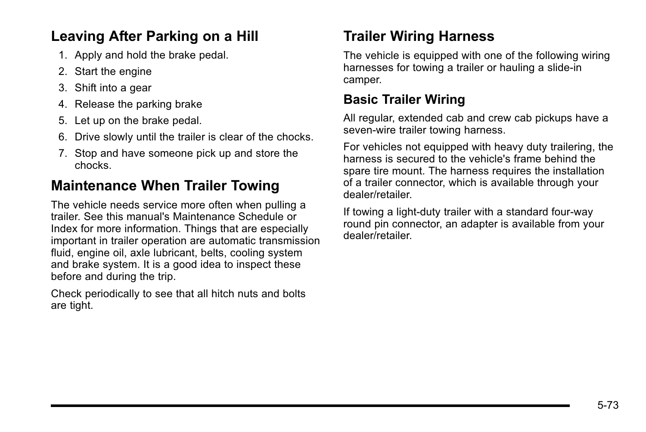## **Leaving After Parking on a Hill**

- 1. Apply and hold the brake pedal.
- 2. Start the engine
- 3. Shift into a gear
- 4. Release the parking brake
- 5. Let up on the brake pedal.
- 6. Drive slowly until the trailer is clear of the chocks.
- 7. Stop and have someone pick up and store the chocks.

## **Maintenance When Trailer Towing**

The vehicle needs service more often when pulling a trailer. See this manual's Maintenance Schedule or Index for more information. Things that are especially important in trailer operation are automatic transmission fluid, engine oil, axle lubricant, belts, cooling system and brake system. It is a good idea to inspect these before and during the trip.

Check periodically to see that all hitch nuts and bolts are tight.

# **Trailer Wiring Harness**

The vehicle is equipped with one of the following wiring harnesses for towing a trailer or hauling a slide-in camper.

#### **Basic Trailer Wiring**

All regular, extended cab and crew cab pickups have a seven-wire trailer towing harness.

For vehicles not equipped with heavy duty trailering, the harness is secured to the vehicle's frame behind the spare tire mount. The harness requires the installation of a trailer connector, which is available through your dealer/retailer.

If towing a light‐duty trailer with a standard four‐way round pin connector, an adapter is available from your dealer/retailer.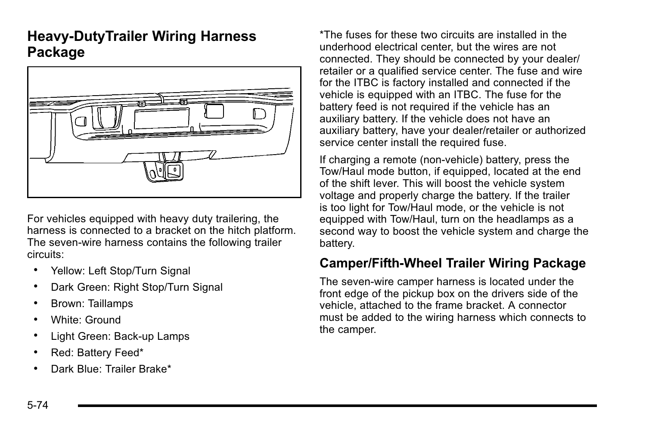### **Heavy-DutyTrailer Wiring Harness Package**



For vehicles equipped with heavy duty trailering, the harness is connected to a bracket on the hitch platform. The seven-wire harness contains the following trailer circuits:

- Yellow: Left Stop/Turn Signal
- . Dark Green: Right Stop/Turn Signal
- . Brown: Taillamps
- . White: Ground
- . Light Green: Back-up Lamps
- . Red: Battery Feed\*
- . Dark Blue: Trailer Brake\*

\*The fuses for these two circuits are installed in the underhood electrical center, but the wires are not connected. They should be connected by your dealer/ retailer or a qualified service center. The fuse and wire for the ITBC is factory installed and connected if the vehicle is equipped with an ITBC. The fuse for the battery feed is not required if the vehicle has an auxiliary battery. If the vehicle does not have an auxiliary battery, have your dealer/retailer or authorized service center install the required fuse.

If charging a remote (non-vehicle) battery, press the Tow/Haul mode button, if equipped, located at the end of the shift lever. This will boost the vehicle system voltage and properly charge the battery. If the trailer is too light for Tow/Haul mode, or the vehicle is not equipped with Tow/Haul, turn on the headlamps as a second way to boost the vehicle system and charge the battery.

#### **Camper/Fifth-Wheel Trailer Wiring Package**

The seven-wire camper harness is located under the front edge of the pickup box on the drivers side of the vehicle, attached to the frame bracket. A connector must be added to the wiring harness which connects to the camper.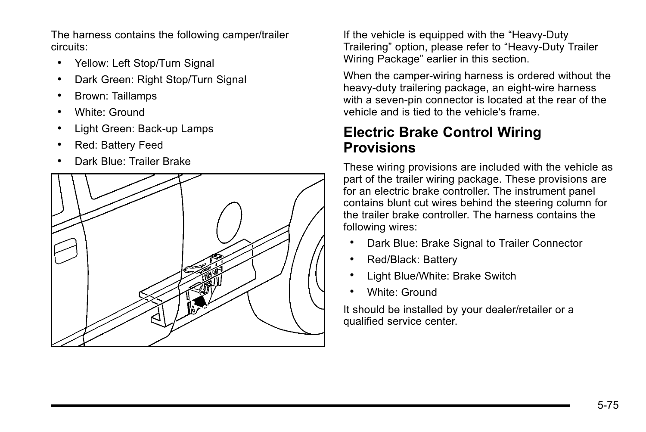The harness contains the following camper/trailer circuits:

- Yellow: Left Stop/Turn Signal
- . Dark Green: Right Stop/Turn Signal
- . Brown: Taillamps
- . White: Ground
- . Light Green: Back-up Lamps
- . Red: Battery Feed
- . Dark Blue: Trailer Brake



If the vehicle is equipped with the "Heavy-Duty Trailering" option, please refer to "Heavy-Duty Trailer Wiring Package" earlier in this section.

When the camper-wiring harness is ordered without the heavy-duty trailering package, an eight-wire harness with a seven-pin connector is located at the rear of the vehicle and is tied to the vehicle's frame.

### **Electric Brake Control Wiring Provisions**

These wiring provisions are included with the vehicle as part of the trailer wiring package. These provisions are for an electric brake controller. The instrument panel contains blunt cut wires behind the steering column for the trailer brake controller. The harness contains the following wires:

- . Dark Blue: Brake Signal to Trailer Connector
- . Red/Black: Battery
- . Light Blue/White: Brake Switch
- . White: Ground

It should be installed by your dealer/retailer or a qualified service center.